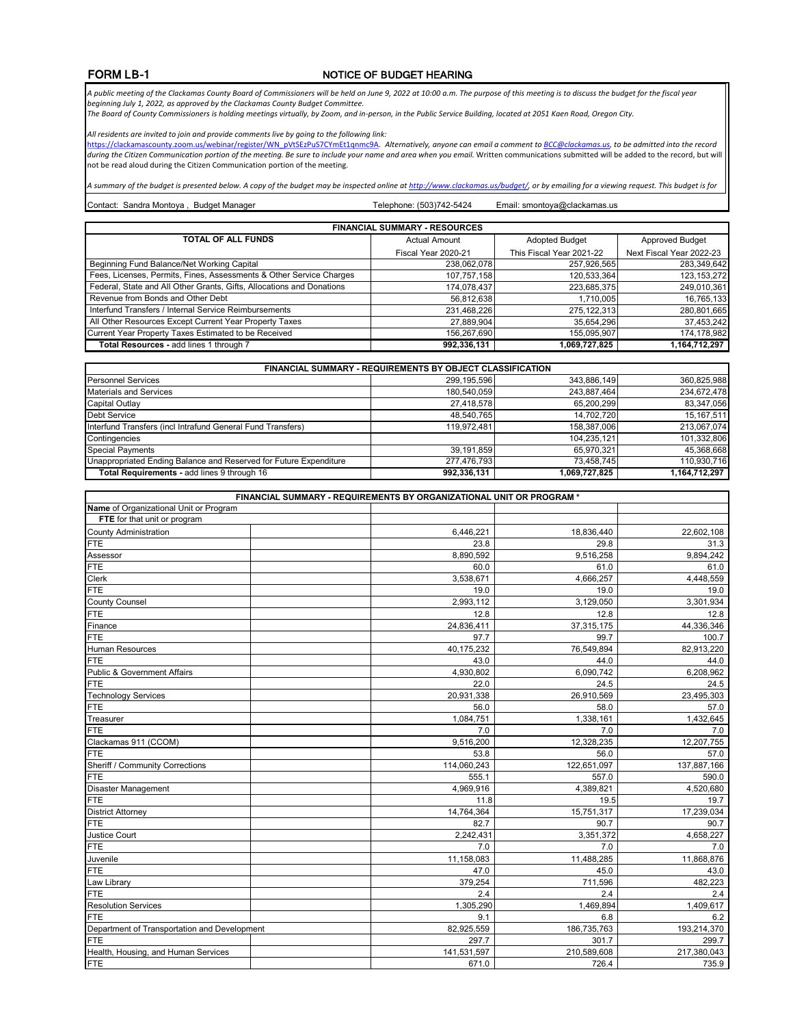## NOTICE OF BUDGET HEARING

A public meeting of the Clackamas County Board of Commissioners will be held on June 9, 2022 at 10:00 a.m. The purpose of this meeting is to discuss the budget for the fiscal year<br>beginning July 1, 2022, as approved by the

*The Board of County Commissioners is holding meetings virtually, by Zoom, and in-person, in the Public Service Building, located at 2051 Kaen Road, Oregon City.* 

*All residents are invited to join and provide comments live by going to the following link:* 

<u>https://clackamascounty.zoom.us/webinar/register/WN\_pVtSEzPuS7CYmEt1qnmc9A</u>. Alternatively, anyone can email a comment to <u>BCC@clackamas.us</u>, to be admitted into the record<br>during the Citizen Communication portion of the not be read aloud during the Citizen Communication portion of the meeting.

*A summary of the budget is presented below. A copy of the budget may be inspected online at http://www.clackamas.us/budget/, or by emailing for a viewing request. This budget is for* 

Telephone: (503)742-5424 Contact: Sandra Montoya, Budget Manager **Email: smontoya@clackamas.us** Telephone: (503)742-5424 Email: smontoya@clackamas.us

| <b>FINANCIAL SUMMARY - RESOURCES</b>                                  |                      |                          |                          |  |  |
|-----------------------------------------------------------------------|----------------------|--------------------------|--------------------------|--|--|
| <b>TOTAL OF ALL FUNDS</b>                                             | <b>Actual Amount</b> | <b>Adopted Budget</b>    | <b>Approved Budget</b>   |  |  |
|                                                                       | Fiscal Year 2020-21  | This Fiscal Year 2021-22 | Next Fiscal Year 2022-23 |  |  |
| Beginning Fund Balance/Net Working Capital                            | 238,062,078          | 257,926,565              | 283.349.642              |  |  |
| Fees, Licenses, Permits, Fines, Assessments & Other Service Charges   | 107,757,158          | 120,533,364              | 123, 153, 272            |  |  |
| Federal, State and All Other Grants, Gifts, Allocations and Donations | 174,078,437          | 223,685,375              | 249.010.361              |  |  |
| Revenue from Bonds and Other Debt                                     | 56.812.638           | 1.710.005                | 16,765,133               |  |  |
| Interfund Transfers / Internal Service Reimbursements                 | 231,468,226          | 275, 122, 313            | 280,801,665              |  |  |
| All Other Resources Except Current Year Property Taxes                | 27,889,904           | 35,654,296               | 37,453,242               |  |  |
| Current Year Property Taxes Estimated to be Received                  | 156,267,690          | 155,095,907              | 174,178,982              |  |  |
| Total Resources - add lines 1 through 7                               | 992,336,131          | 1,069,727,825            | 1.164.712.297            |  |  |

| <b>FINANCIAL SUMMARY - REQUIREMENTS BY OBJECT CLASSIFICATION</b>  |             |               |               |  |
|-------------------------------------------------------------------|-------------|---------------|---------------|--|
| <b>Personnel Services</b>                                         | 299.195.596 | 343.886.149   | 360,825,988   |  |
| <b>Materials and Services</b>                                     | 180,540,059 | 243,887,464   | 234,672,478   |  |
| Capital Outlay                                                    | 27.418.578  | 65.200.299    | 83,347,056    |  |
| <b>Debt Service</b>                                               | 48.540.765  | 14.702.720    | 15,167,511    |  |
| Interfund Transfers (incl Intrafund General Fund Transfers)       | 119,972,481 | 158.387.006   | 213,067,074   |  |
| Contingencies                                                     |             | 104,235,121   | 101,332,806   |  |
| <b>Special Payments</b>                                           | 39.191.859  | 65.970.321    | 45,368,668    |  |
| Unappropriated Ending Balance and Reserved for Future Expenditure | 277,476,793 | 73.458.745    | 110,930,716   |  |
| Total Requirements - add lines 9 through 16                       | 992,336,131 | 1,069,727,825 | 1,164,712,297 |  |

| FINANCIAL SUMMARY - REQUIREMENTS BY ORGANIZATIONAL UNIT OR PROGRAM * |             |             |             |  |
|----------------------------------------------------------------------|-------------|-------------|-------------|--|
| Name of Organizational Unit or Program                               |             |             |             |  |
| FTE for that unit or program                                         |             |             |             |  |
| <b>County Administration</b>                                         | 6,446,221   | 18,836,440  | 22,602,108  |  |
| <b>FTE</b>                                                           | 23.8        | 29.8        | 31.3        |  |
| Assessor                                                             | 8,890,592   | 9,516,258   | 9,894,242   |  |
| <b>FTE</b>                                                           | 60.0        | 61.0        | 61.0        |  |
| Clerk                                                                | 3,538,671   | 4,666,257   | 4,448,559   |  |
| <b>FTE</b>                                                           | 19.0        | 19.0        | 19.0        |  |
| <b>County Counsel</b>                                                | 2,993,112   | 3,129,050   | 3,301,934   |  |
| FTE                                                                  | 12.8        | 12.8        | 12.8        |  |
| Finance                                                              | 24,836,411  | 37,315,175  | 44,336,346  |  |
| <b>FTE</b>                                                           | 97.7        | 99.7        | 100.7       |  |
| Human Resources                                                      | 40,175,232  | 76,549,894  | 82,913,220  |  |
| <b>FTE</b>                                                           | 43.0        | 44.0        | 44.0        |  |
| <b>Public &amp; Government Affairs</b>                               | 4,930,802   | 6,090,742   | 6,208,962   |  |
| <b>FTE</b>                                                           | 22.0        | 24.5        | 24.5        |  |
| <b>Technology Services</b>                                           | 20,931,338  | 26,910,569  | 23,495,303  |  |
| <b>FTE</b>                                                           | 56.0        | 58.0        | 57.0        |  |
| Treasurer                                                            | 1,084,751   | 1,338,161   | 1,432,645   |  |
| <b>FTE</b>                                                           | 7.0         | 7.0         | 7.0         |  |
| Clackamas 911 (CCOM)                                                 | 9,516,200   | 12,328,235  | 12,207,755  |  |
| <b>FTE</b>                                                           | 53.8        | 56.0        | 57.0        |  |
| Sheriff / Community Corrections                                      | 114,060,243 | 122,651,097 | 137,887,166 |  |
| <b>FTE</b>                                                           | 555.1       | 557.0       | 590.0       |  |
| Disaster Management                                                  | 4,969,916   | 4,389,821   | 4,520,680   |  |
| <b>FTE</b>                                                           | 11.8        | 19.5        | 19.7        |  |
| <b>District Attorney</b>                                             | 14,764,364  | 15,751,317  | 17,239,034  |  |
| <b>FTE</b>                                                           | 82.7        | 90.7        | 90.7        |  |
| Justice Court                                                        | 2,242,431   | 3,351,372   | 4,658,227   |  |
| <b>FTE</b>                                                           | 7.0         | 7.0         | 7.0         |  |
| Juvenile                                                             | 11,158,083  | 11,488,285  | 11,868,876  |  |
| <b>FTE</b>                                                           | 47.0        | 45.0        | 43.0        |  |
| Law Library                                                          | 379,254     | 711,596     | 482,223     |  |
| <b>FTE</b>                                                           | 2.4         | 2.4         | 2.4         |  |
| <b>Resolution Services</b>                                           | 1,305,290   | 1,469,894   | 1,409,617   |  |
| <b>FTE</b>                                                           | 9.1         | 6.8         | 6.2         |  |
| Department of Transportation and Development                         | 82,925,559  | 186,735,763 | 193,214,370 |  |
| <b>FTE</b>                                                           | 297.7       | 301.7       | 299.7       |  |
| Health, Housing, and Human Services                                  | 141,531,597 | 210,589,608 | 217,380,043 |  |
| <b>FTE</b>                                                           | 671.0       | 726.4       | 735.9       |  |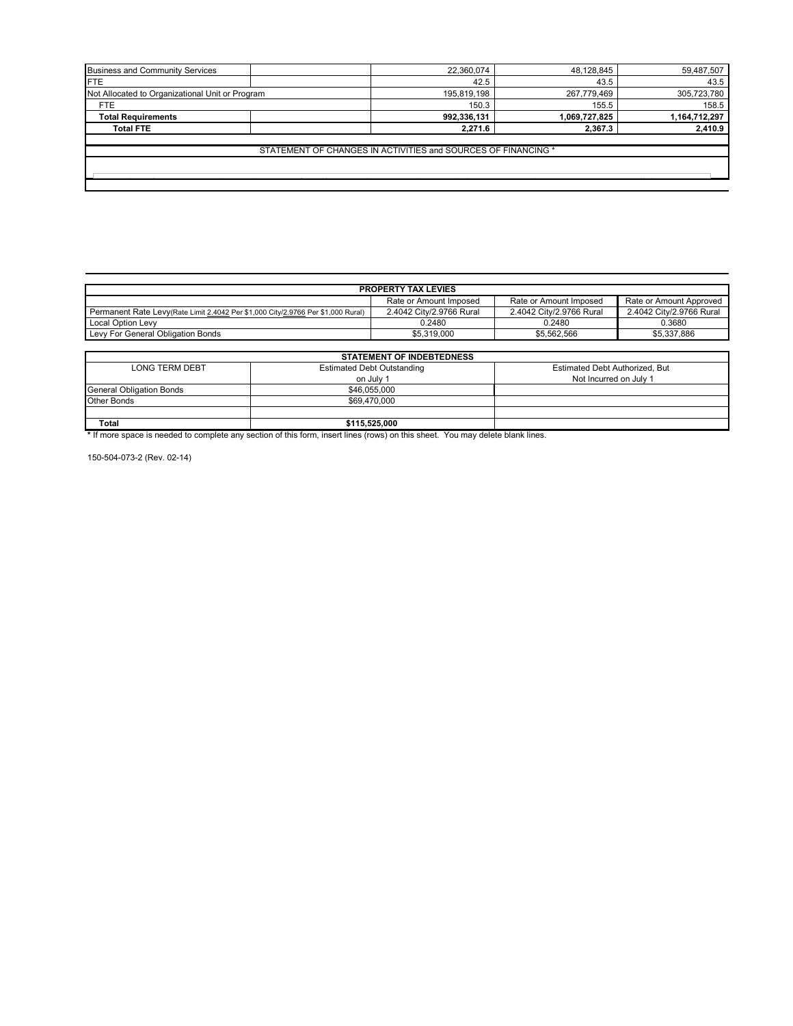| <b>Business and Community Services</b>          | 22,360,074                                                    | 48,128,845    | 59,487,507    |
|-------------------------------------------------|---------------------------------------------------------------|---------------|---------------|
| <b>FTE</b>                                      | 42.5                                                          | 43.5          | 43.5          |
| Not Allocated to Organizational Unit or Program | 195,819,198                                                   | 267,779,469   | 305,723,780   |
| <b>FTE</b>                                      | 150.3                                                         | 155.5         | 158.5         |
| <b>Total Requirements</b>                       | 992,336,131                                                   | 1,069,727,825 | 1,164,712,297 |
| <b>Total FTE</b>                                | 2,271.6                                                       | 2,367.3       | 2,410.9       |
|                                                 | STATEMENT OF CHANGES IN ACTIVITIES and SOURCES OF FINANCING * |               |               |

| <b>PROPERTY TAX LEVIES</b>                                                       |                          |                          |                          |  |  |
|----------------------------------------------------------------------------------|--------------------------|--------------------------|--------------------------|--|--|
| Rate or Amount Imposed<br>Rate or Amount Imposed<br>Rate or Amount Approved      |                          |                          |                          |  |  |
| Permanent Rate Levy(Rate Limit 2.4042 Per \$1,000 City/2.9766 Per \$1,000 Rural) | 2.4042 City/2.9766 Rural | 2.4042 City/2.9766 Rural | 2.4042 City/2.9766 Rural |  |  |
| <b>Local Option Levy</b>                                                         | 0.2480                   | 0.2480                   | 0.3680                   |  |  |
| Levy For General Obligation Bonds                                                | \$5.319.000              | \$5.562.566              | \$5.337.886              |  |  |
|                                                                                  |                          |                          |                          |  |  |

| <b>STATEMENT OF INDEBTEDNESS</b> |                                   |                                |  |
|----------------------------------|-----------------------------------|--------------------------------|--|
| <b>LONG TERM DEBT</b>            | <b>Estimated Debt Outstanding</b> | Estimated Debt Authorized, But |  |
|                                  | on July 1                         | Not Incurred on July 1         |  |
| <b>General Obligation Bonds</b>  | \$46,055,000                      |                                |  |
| Other Bonds                      | \$69,470,000                      |                                |  |
|                                  |                                   |                                |  |
| <b>Total</b>                     | \$115,525,000                     |                                |  |

**\*** If more space is needed to complete any section of this form, insert lines (rows) on this sheet. You may delete blank lines.

150-504-073-2 (Rev. 02-14)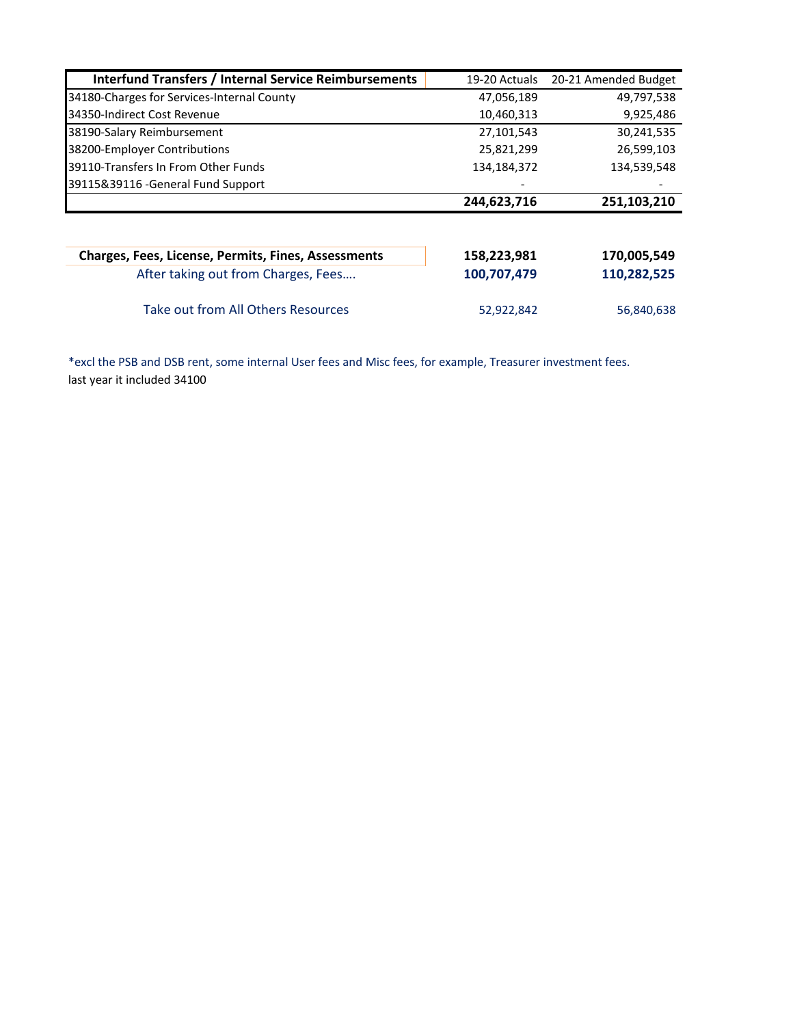| <b>Interfund Transfers / Internal Service Reimbursements</b> | 19-20 Actuals | 20-21 Amended Budget |
|--------------------------------------------------------------|---------------|----------------------|
| 34180-Charges for Services-Internal County                   | 47,056,189    | 49,797,538           |
| 34350-Indirect Cost Revenue                                  | 10,460,313    | 9,925,486            |
| 38190-Salary Reimbursement                                   | 27,101,543    | 30,241,535           |
| 38200-Employer Contributions                                 | 25,821,299    | 26,599,103           |
| 39110-Transfers In From Other Funds                          | 134,184,372   | 134,539,548          |
| 39115&39116 - General Fund Support                           |               |                      |
|                                                              | 244,623,716   | 251,103,210          |
| <b>Charges, Fees, License, Permits, Fines, Assessments</b>   | 158,223,981   | 170,005,549          |
| After taking out from Charges, Fees                          | 100,707,479   | 110,282,525          |
| Take out from All Others Resources                           | 52,922,842    | 56,840,638           |

\*excl the PSB and DSB rent, some internal User fees and Misc fees, for example, Treasurer investment fees. last year it included 34100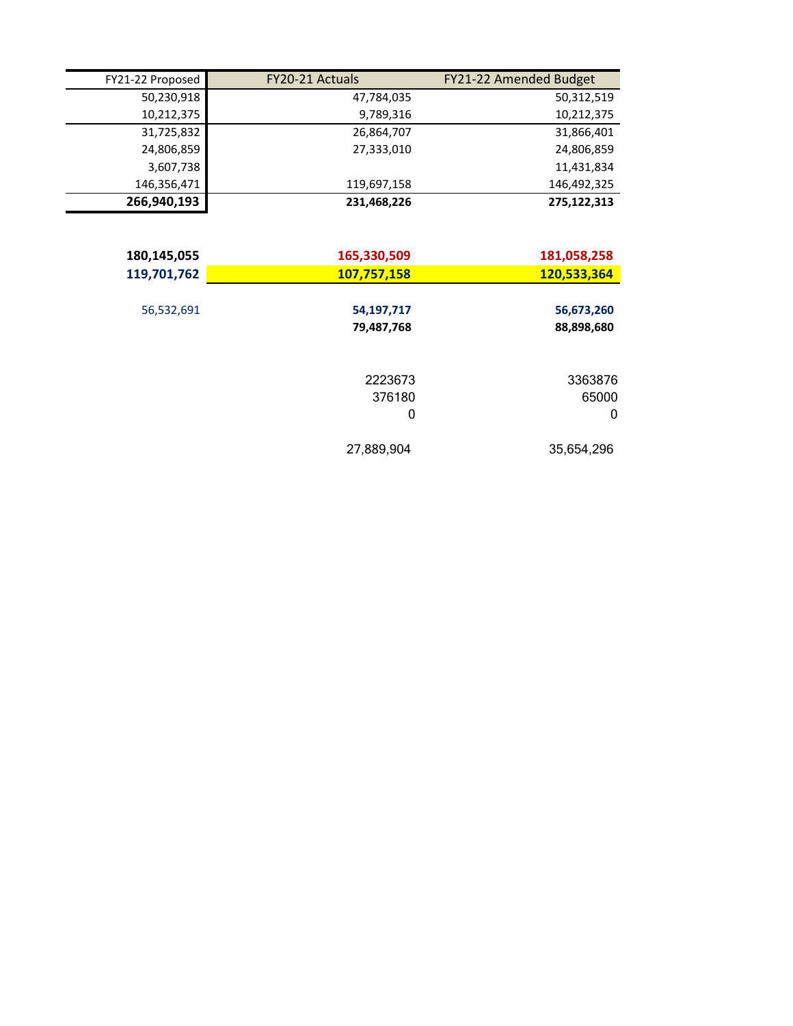| FY21-22 Proposed | FY20-21 Actuals | FY21-22 Amended Budget |
|------------------|-----------------|------------------------|
| 50,230,918       | 47,784,035      | 50,312,519             |
| 10,212,375       | 9,789,316       | 10,212,375             |
| 31,725,832       | 26,864,707      | 31,866,401             |
| 24,806,859       | 27,333,010      | 24,806,859             |
| 3,607,738        |                 | 11,431,834             |
| 146,356,471      | 119,697,158     | 146,492,325            |
| 266,940,193      | 231,468,226     | 275,122,313            |
|                  |                 |                        |
| 180,145,055      | 165,330,509     | 181,058,258            |
| 119,701,762      | 107,757,158     | 120,533,364            |
|                  |                 |                        |
| 56,532,691       | 54,197,717      | 56,673,260             |
|                  | 79,487,768      | 88,898,680             |
|                  |                 |                        |
|                  | 2223673         | 3363876                |
|                  | 376180          | 65000                  |
|                  | 0               | $\mathbf{0}$           |
|                  | 27,889,904      | 35,654,296             |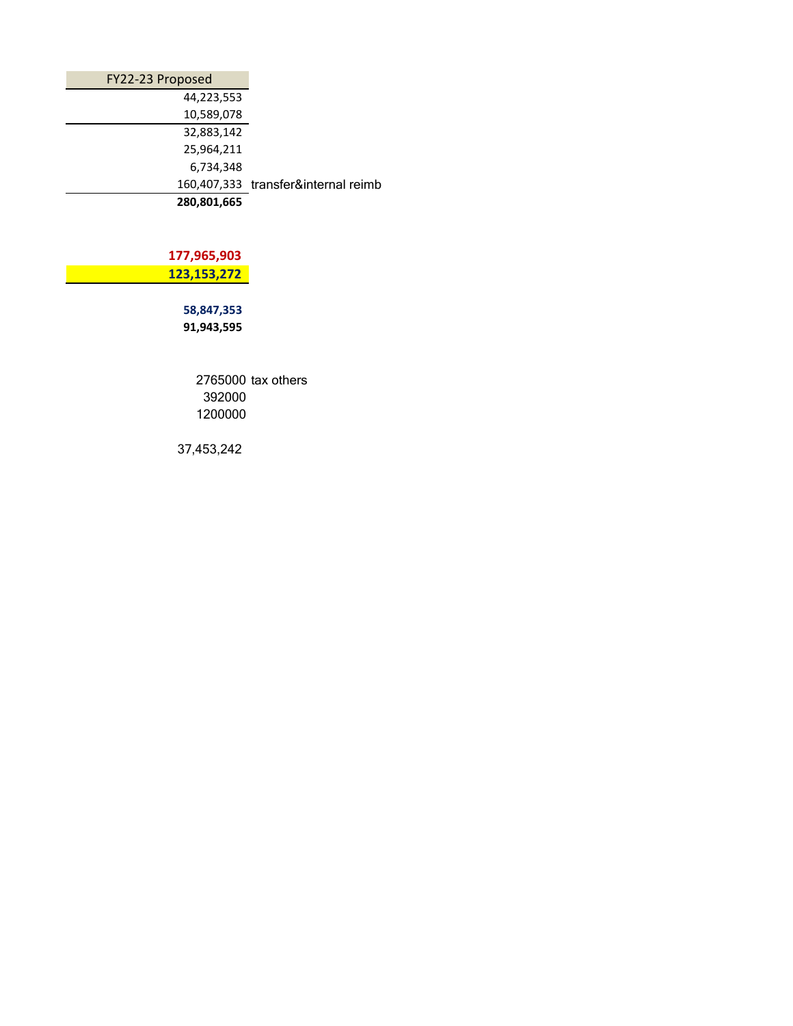| FY22-23 Proposed |                                     |
|------------------|-------------------------------------|
| 44,223,553       |                                     |
| 10,589,078       |                                     |
| 32,883,142       |                                     |
| 25,964,211       |                                     |
| 6,734,348        |                                     |
|                  | 160,407,333 transfer&internal reimb |
| 280,801,665      |                                     |

 **177,965,903** ا 123,153,272 ماد<mark>.</mark> 123,153,272

> **58,847,353 91,943,595**

> > 2765000 tax others 392000 1200000

37,453,242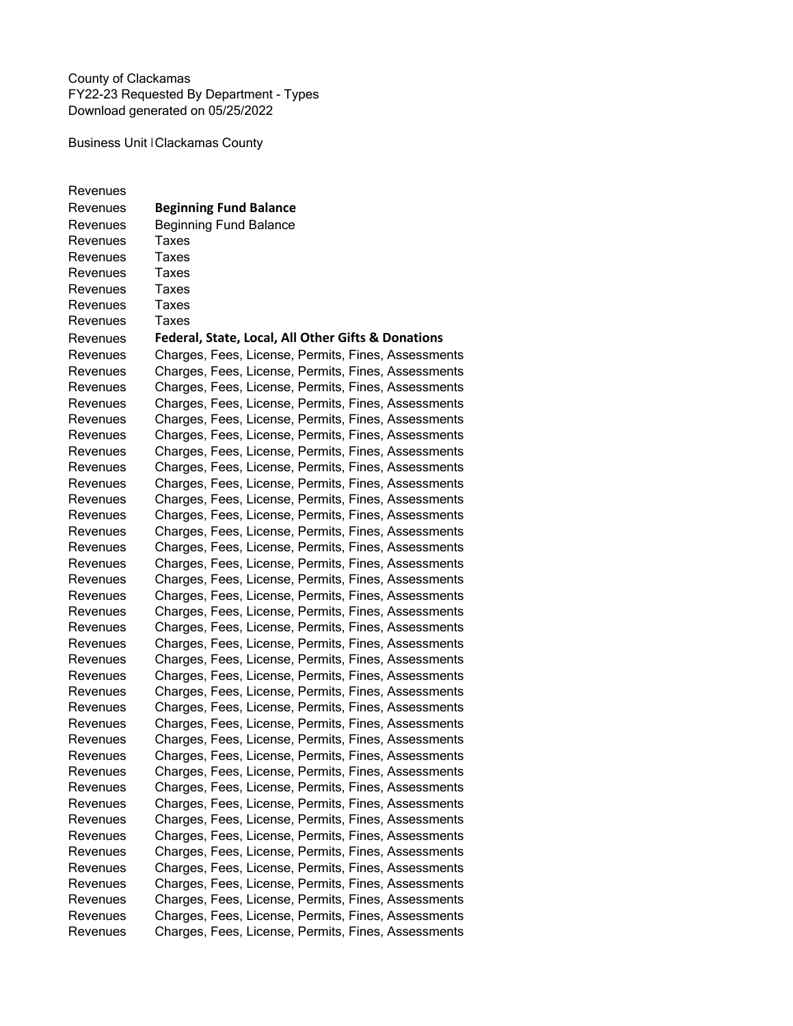County of Clackamas FY22-23 Requested By Department - Types Download generated on 05/25/2022

Business Unit | Clackamas County

Revenues Revenues **Beginning Fund Balance**  Revenues Beginning Fund Balance Revenues Taxes Revenues Taxes<br>Revenues Taxes Revenues Revenues Taxes Revenues Taxes Revenues Taxes Revenues **Federal, State, Local, All Other Gifts & Donations** Revenues Charges, Fees, License, Permits, Fines, Assessments Revenues Charges, Fees, License, Permits, Fines, Assessments Revenues Charges, Fees, License, Permits, Fines, Assessments Revenues Charges, Fees, License, Permits, Fines, Assessments Revenues Charges, Fees, License, Permits, Fines, Assessments Revenues Charges, Fees, License, Permits, Fines, Assessments Revenues Charges, Fees, License, Permits, Fines, Assessments Revenues Charges, Fees, License, Permits, Fines, Assessments Revenues Charges, Fees, License, Permits, Fines, Assessments Revenues Charges, Fees, License, Permits, Fines, Assessments Revenues Charges, Fees, License, Permits, Fines, Assessments Revenues Charges, Fees, License, Permits, Fines, Assessments Revenues Charges, Fees, License, Permits, Fines, Assessments Revenues Charges, Fees, License, Permits, Fines, Assessments Revenues Charges, Fees, License, Permits, Fines, Assessments Revenues Charges, Fees, License, Permits, Fines, Assessments Revenues Charges, Fees, License, Permits, Fines, Assessments Revenues Charges, Fees, License, Permits, Fines, Assessments Revenues Charges, Fees, License, Permits, Fines, Assessments Revenues Charges, Fees, License, Permits, Fines, Assessments Revenues Charges, Fees, License, Permits, Fines, Assessments Revenues Charges, Fees, License, Permits, Fines, Assessments Revenues Charges, Fees, License, Permits, Fines, Assessments Revenues Charges, Fees, License, Permits, Fines, Assessments Revenues Charges, Fees, License, Permits, Fines, Assessments Revenues Charges, Fees, License, Permits, Fines, Assessments Revenues Charges, Fees, License, Permits, Fines, Assessments Revenues Charges, Fees, License, Permits, Fines, Assessments Revenues Charges, Fees, License, Permits, Fines, Assessments Revenues Charges, Fees, License, Permits, Fines, Assessments Revenues Charges, Fees, License, Permits, Fines, Assessments Revenues Charges, Fees, License, Permits, Fines, Assessments Revenues Charges, Fees, License, Permits, Fines, Assessments Revenues Charges, Fees, License, Permits, Fines, Assessments Revenues Charges, Fees, License, Permits, Fines, Assessments Revenues Charges, Fees, License, Permits, Fines, Assessments Revenues Charges, Fees, License, Permits, Fines, Assessments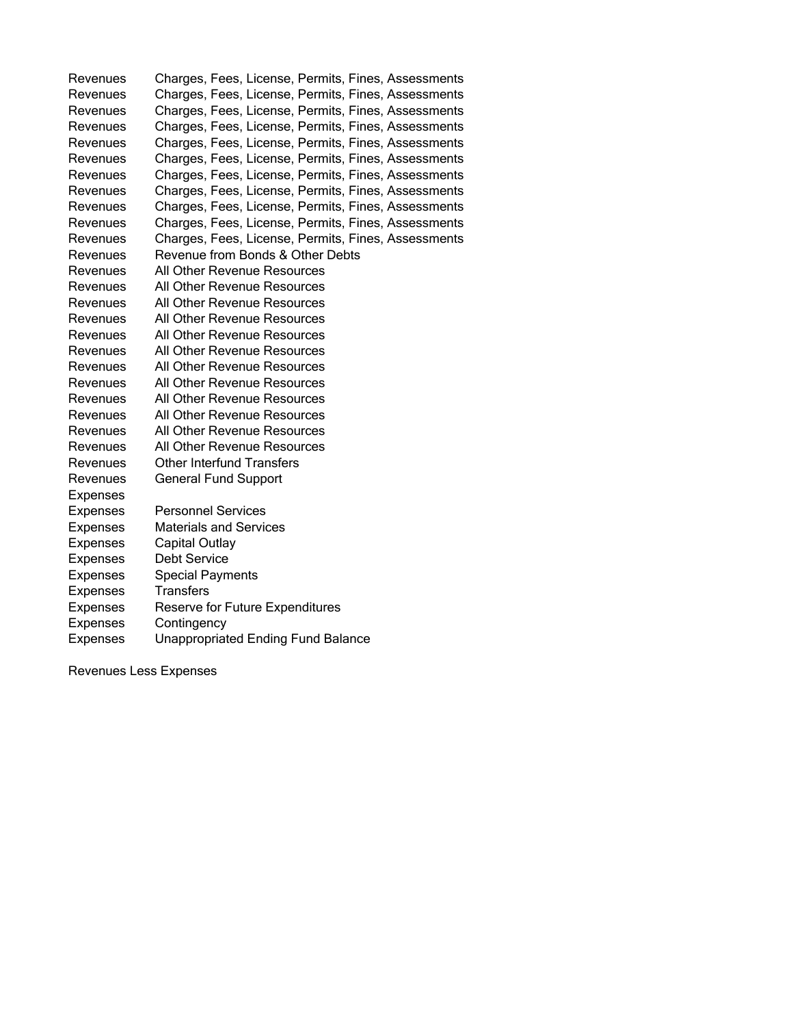Revenues Charges, Fees, License, Permits, Fines, Assessments Charges, Fees, License, Permits, Fines, Assessments Revenues Charges, Fees, License, Permits, Fines, Assessments Revenues Charges, Fees, License, Permits, Fines, Assessments<br>Revenues Charges, Fees, License, Permits, Fines, Assessments Charges, Fees, License, Permits, Fines, Assessments Revenues Charges, Fees, License, Permits, Fines, Assessments Revenues Charges, Fees, License, Permits, Fines, Assessments Revenues Charges, Fees, License, Permits, Fines, Assessments Revenues Charges, Fees, License, Permits, Fines, Assessments Revenues Charges, Fees, License, Permits, Fines, Assessments Revenues Charges, Fees, License, Permits, Fines, Assessments Revenues Revenue from Bonds & Other Debts Revenues All Other Revenue Resources<br>Revenues All Other Revenue Resources All Other Revenue Resources Revenues All Other Revenue Resources Revenues All Other Revenue Resources Revenues All Other Revenue Resources<br>Revenues All Other Revenue Resources All Other Revenue Resources Revenues All Other Revenue Resources Revenues All Other Revenue Resources Revenues All Other Revenue Resources Revenues All Other Revenue Resources Revenues All Other Revenue Resources Revenues All Other Revenue Resources Revenues Other Interfund Transfers Revenues General Fund Support Expenses Expenses Personnel Services Expenses Materials and Services Expenses Capital Outlay Expenses Debt Service Expenses Special Payments Expenses Transfers Expenses Reserve for Future Expenditures Expenses Contingency Expenses Unappropriated Ending Fund Balance

Revenues Less Expenses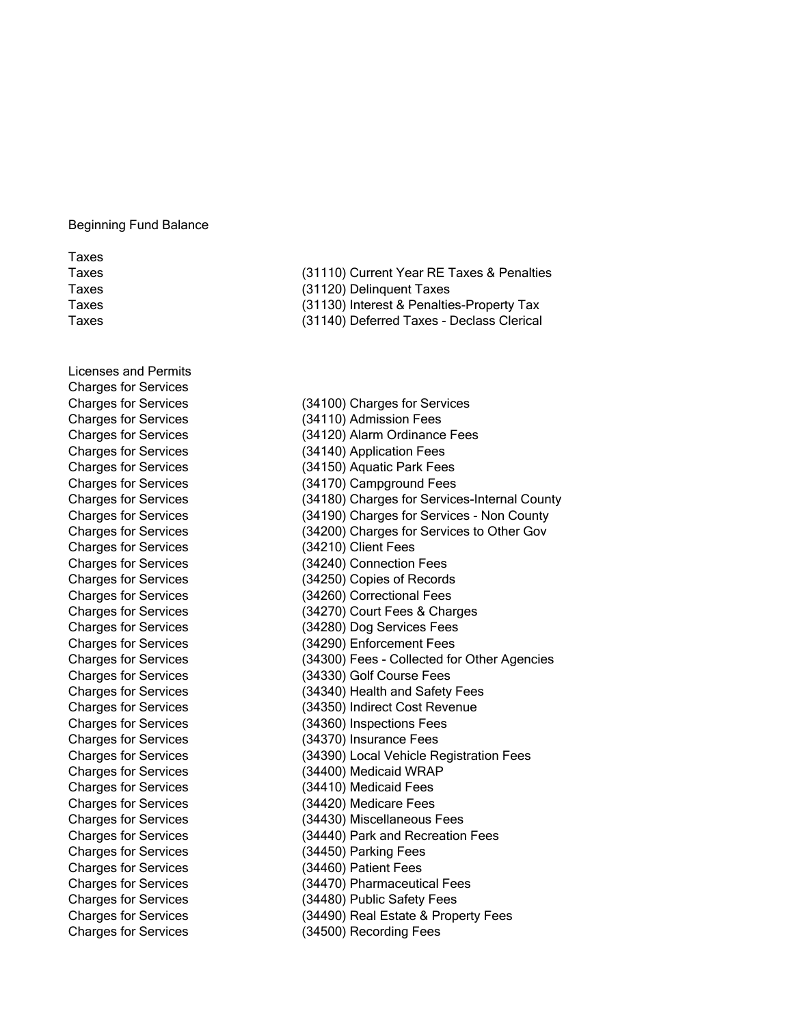## Beginning Fund Balance

Taxes

Licenses and Permits Charges for Services Charges for Services (34100) Charges for Services Charges for Services (34210) Client Fees Charges for Services (34450) Parking Fees Charges for Services (34460) Patient Fees Charges for Services (34500) Recording Fees

(31110) Current Year RE Taxes & Penalties Taxes (31120) Delinquent Taxes Taxes (31130) Interest & Penalties-Property Tax Taxes (31140) Deferred Taxes - Declass Clerical

Charges for Services (34110) Admission Fees Charges for Services (34120) Alarm Ordinance Fees Charges for Services (34140) Application Fees Charges for Services (34150) Aquatic Park Fees Charges for Services (34170) Campground Fees Charges for Services (34180) Charges for Services-Internal County Charges for Services (34190) Charges for Services - Non County Charges for Services (34200) Charges for Services to Other Gov Charges for Services (34240) Connection Fees Charges for Services (34250) Copies of Records Charges for Services (34260) Correctional Fees Charges for Services (34270) Court Fees & Charges Charges for Services (34280) Dog Services Fees Charges for Services (34290) Enforcement Fees Charges for Services (34300) Fees - Collected for Other Agencies Charges for Services (34330) Golf Course Fees Charges for Services (34340) Health and Safety Fees Charges for Services (34350) Indirect Cost Revenue Charges for Services (34360) Inspections Fees Charges for Services (34370) Insurance Fees Charges for Services (34390) Local Vehicle Registration Fees Charges for Services (34400) Medicaid WRAP Charges for Services (34410) Medicaid Fees Charges for Services (34420) Medicare Fees Charges for Services (34430) Miscellaneous Fees Charges for Services (34440) Park and Recreation Fees Charges for Services (34470) Pharmaceutical Fees Charges for Services (34480) Public Safety Fees Charges for Services (34490) Real Estate & Property Fees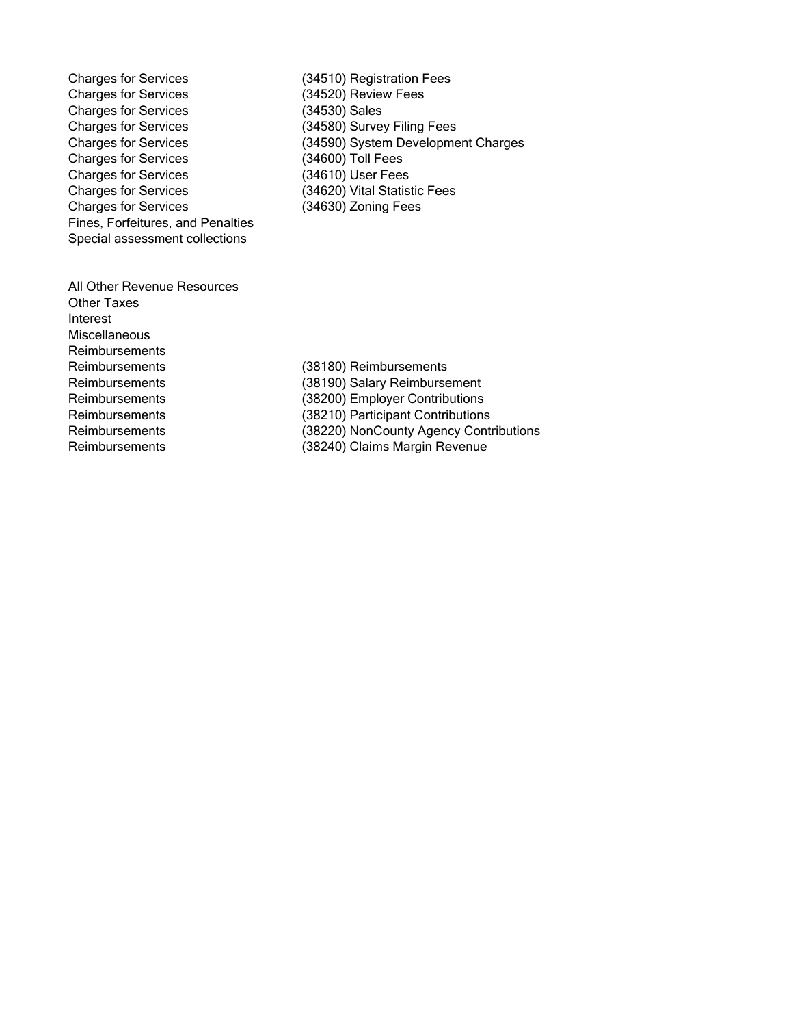Charges for Services<br>
Charges for Services
(34520) Review Fees
(34520) Charges for Services Charges for Services<br>
Charges for Services
(34590) System Developme Charges for Services Charges for Services (34610) User Fees Charges for Services (34620) Vital Statistic Fees Charges for Services (34630) Zoning Fees Fines, Forfeitures, and Penalties Special assessment collections

(34520) Review Fees<br>(34530) Sales (34590) System Development Charges<br>(34600) Toll Fees

All Other Revenue Resources Other Taxes Interest **Miscellaneous Reimbursements** Reimbursements (38180) Reimbursements

Reimbursements (38190) Salary Reimbursement Reimbursements (38200) Employer Contributions Reimbursements (38210) Participant Contributions Reimbursements (38220) NonCounty Agency Contributions<br>
Reimbursements (38240) Claims Margin Revenue (38240) Claims Margin Revenue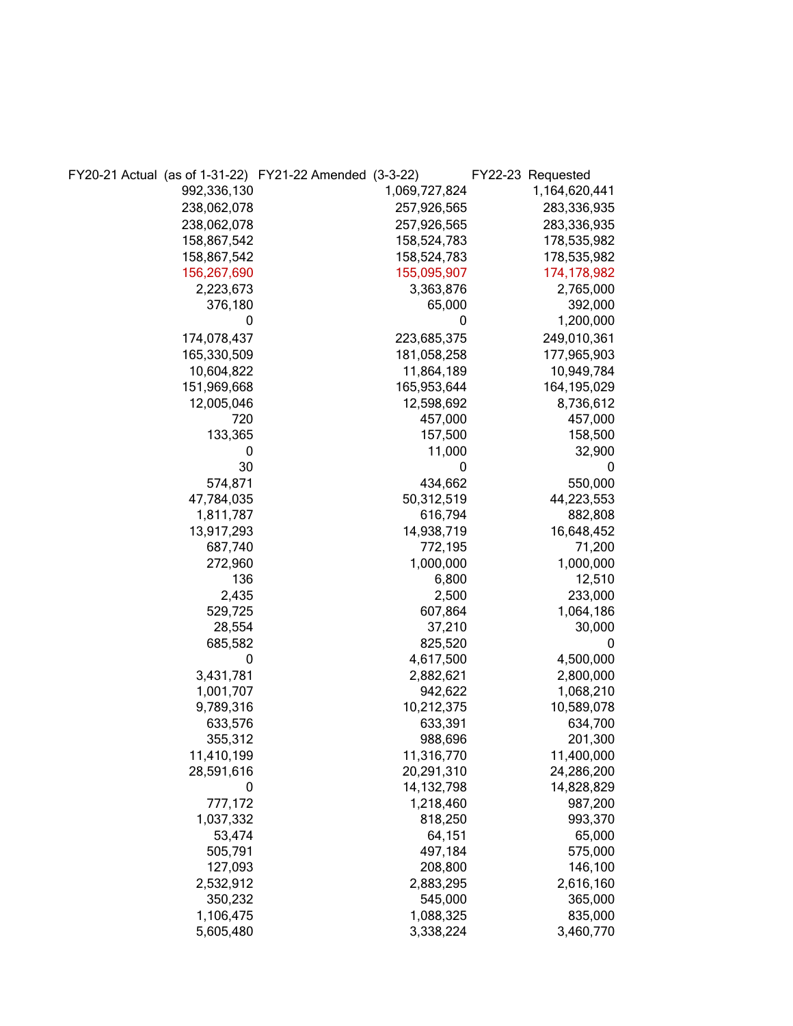|             | FY20-21 Actual (as of 1-31-22) FY21-22 Amended (3-3-22) |               | FY22-23 Requested |
|-------------|---------------------------------------------------------|---------------|-------------------|
| 992,336,130 |                                                         | 1,069,727,824 | 1,164,620,441     |
| 238,062,078 |                                                         | 257,926,565   | 283,336,935       |
| 238,062,078 |                                                         | 257,926,565   | 283,336,935       |
| 158,867,542 |                                                         | 158,524,783   | 178,535,982       |
| 158,867,542 |                                                         | 158,524,783   | 178,535,982       |
| 156,267,690 |                                                         | 155,095,907   | 174, 178, 982     |
| 2,223,673   |                                                         | 3,363,876     | 2,765,000         |
| 376,180     |                                                         | 65,000        | 392,000           |
| 0           |                                                         | 0             | 1,200,000         |
| 174,078,437 |                                                         | 223,685,375   | 249,010,361       |
| 165,330,509 |                                                         | 181,058,258   | 177,965,903       |
| 10,604,822  |                                                         | 11,864,189    | 10,949,784        |
| 151,969,668 |                                                         | 165,953,644   | 164,195,029       |
| 12,005,046  |                                                         | 12,598,692    | 8,736,612         |
| 720         |                                                         | 457,000       | 457,000           |
| 133,365     |                                                         | 157,500       | 158,500           |
| 0           |                                                         | 11,000        | 32,900            |
| 30          |                                                         | 0             | 0                 |
| 574,871     |                                                         | 434,662       | 550,000           |
| 47,784,035  |                                                         | 50,312,519    | 44,223,553        |
| 1,811,787   |                                                         | 616,794       | 882,808           |
| 13,917,293  |                                                         | 14,938,719    | 16,648,452        |
| 687,740     |                                                         | 772,195       | 71,200            |
| 272,960     |                                                         | 1,000,000     | 1,000,000         |
| 136         |                                                         | 6,800         | 12,510            |
| 2,435       |                                                         | 2,500         | 233,000           |
| 529,725     |                                                         | 607,864       | 1,064,186         |
| 28,554      |                                                         | 37,210        | 30,000            |
| 685,582     |                                                         | 825,520       | 0                 |
| 0           |                                                         | 4,617,500     | 4,500,000         |
| 3,431,781   |                                                         | 2,882,621     | 2,800,000         |
| 1,001,707   |                                                         | 942,622       | 1,068,210         |
| 9,789,316   |                                                         | 10,212,375    | 10,589,078        |
| 633,576     |                                                         | 633,391       | 634,700           |
| 355,312     |                                                         | 988,696       | 201,300           |
| 11,410,199  |                                                         | 11,316,770    | 11,400,000        |
| 28,591,616  |                                                         | 20,291,310    | 24,286,200        |
| 0           |                                                         | 14, 132, 798  | 14,828,829        |
| 777,172     |                                                         | 1,218,460     | 987,200           |
| 1,037,332   |                                                         | 818,250       | 993,370           |
| 53,474      |                                                         | 64,151        | 65,000            |
| 505,791     |                                                         | 497,184       | 575,000           |
| 127,093     |                                                         | 208,800       | 146,100           |
| 2,532,912   |                                                         | 2,883,295     | 2,616,160         |
| 350,232     |                                                         | 545,000       | 365,000           |
| 1,106,475   |                                                         | 1,088,325     | 835,000           |
| 5,605,480   |                                                         | 3,338,224     | 3,460,770         |